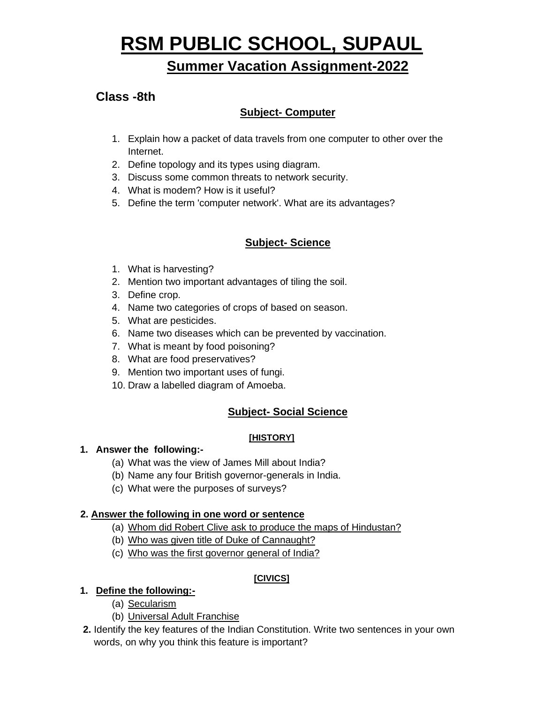# **RSM PUBLIC SCHOOL, SUPAUL**

# **Summer Vacation Assignment-2022**

## **Class -8th**

## **Subject- Computer**

- 1. Explain how a packet of data travels from one computer to other over the Internet.
- 2. Define topology and its types using diagram.
- 3. Discuss some common threats to network security.
- 4. What is modem? How is it useful?
- 5. Define the term 'computer network'. What are its advantages?

### **Subject- Science**

- 1. What is harvesting?
- 2. Mention two important advantages of tiling the soil.
- 3. Define crop.
- 4. Name two categories of crops of based on season.
- 5. What are pesticides.
- 6. Name two diseases which can be prevented by vaccination.
- 7. What is meant by food poisoning?
- 8. What are food preservatives?
- 9. Mention two important uses of fungi.
- 10. Draw a labelled diagram of Amoeba.

#### **Subject- Social Science**

#### **[HISTORY]**

#### **1. Answer the following:-**

- (a) What was the view of James Mill about India?
- (b) Name any four British governor-generals in India.
- (c) What were the purposes of surveys?

#### **2. Answer the following in one word or sentence**

- (a) Whom did Robert Clive ask to produce the maps of Hindustan?
- (b) Who was given title of Duke of Cannaught?
- (c) Who was the first governor general of India?

#### **[CIVICS]**

#### **1. Define the following:-**

- (a) Secularism
- (b) Universal Adult Franchise
- **2.** Identify the key features of the Indian Constitution. Write two sentences in your own words, on why you think this feature is important?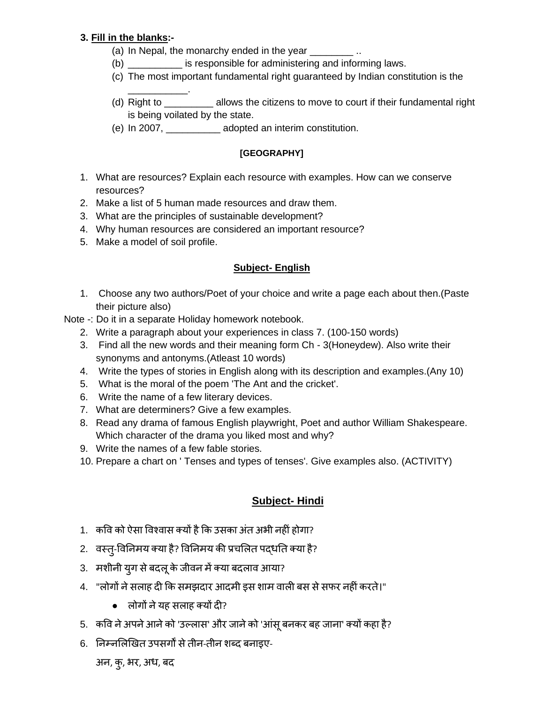#### **3. Fill in the blanks:-**

- (a) In Nepal, the monarchy ended in the year  $\ldots$
- (b) \_\_\_\_\_\_\_\_\_\_ is responsible for administering and informing laws.
- (c) The most important fundamental right guaranteed by Indian constitution is the
- (d) Right to \_\_\_\_\_\_\_\_\_ allows the citizens to move to court if their fundamental right is being voilated by the state.
- (e) In 2007, \_\_\_\_\_\_\_\_\_\_ adopted an interim constitution.

#### **[GEOGRAPHY]**

- 1. What are resources? Explain each resource with examples. How can we conserve resources?
- 2. Make a list of 5 human made resources and draw them.
- 3. What are the principles of sustainable development?
- 4. Why human resources are considered an important resource?
- 5. Make a model of soil profile.

\_\_\_\_\_\_\_\_\_\_\_.

#### **Subject- English**

- 1. Choose any two authors/Poet of your choice and write a page each about then.(Paste their picture also)
- Note -: Do it in a separate Holiday homework notebook.
	- 2. Write a paragraph about your experiences in class 7. (100-150 words)
	- 3. Find all the new words and their meaning form Ch 3(Honeydew). Also write their synonyms and antonyms.(Atleast 10 words)
	- 4. Write the types of stories in English along with its description and examples.(Any 10)
	- 5. What is the moral of the poem 'The Ant and the cricket'.
	- 6. Write the name of a few literary devices.
	- 7. What are determiners? Give a few examples.
	- 8. Read any drama of famous English playwright, Poet and author William Shakespeare. Which character of the drama you liked most and why?
	- 9. Write the names of a few fable stories.
	- 10. Prepare a chart on ' Tenses and types of tenses'. Give examples also. (ACTIVITY)

#### **Subject- Hindi**

- 1. कवि को ऐसा विश्वास क्यों है कि उसका अंत अभी नहीं होगा?
- 2. वस्तु-विनिमय क्या है? विनिमय की प्रचलित पदधति क्या है?
- 3. मशीनी युग से बदल् के जीवन में क्या बदलाव आया?
- 4. "लोगों ने सलाह दी कि समझदार आदमी इस शाम वाली बस से सफर नहीं करते।"
	- $\bullet$  लोगों ने यह सलाह क्यों दी?
- 5. कवि ने अपने आने को 'उल्लास' और जाने को 'आंसू बनकर बह जाना' क्यों कहा है?
- 6. ननम्नलिखित उपसगों सेतीन-तीन शब्द बनाइए-